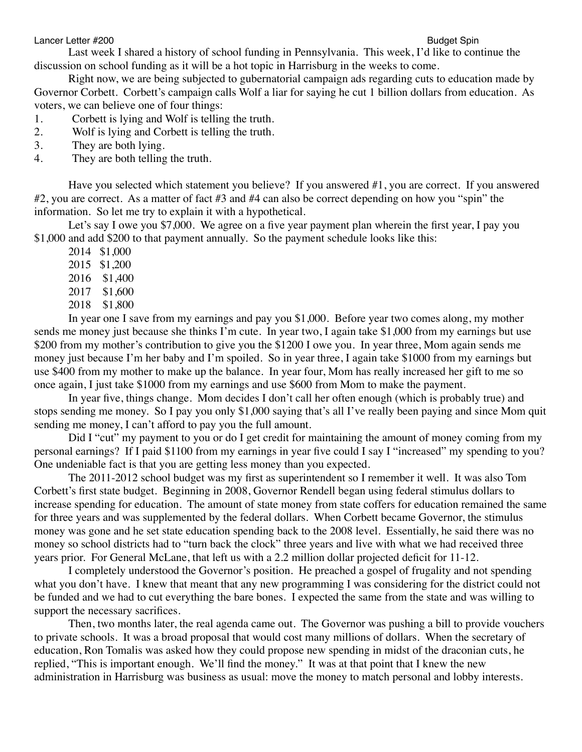Lancer Letter #200 **Budget Spin** Budget Spin Budget Spin Budget Spin Budget Spin Budget Spin Budget Spin Budget Spin Budget Spin Budget Spin Budget Spin Budget Spin Budget Spin Budget Spin Budget Spin Budget Spin Budget Sp

Last week I shared a history of school funding in Pennsylvania. This week, I'd like to continue the discussion on school funding as it will be a hot topic in Harrisburg in the weeks to come.

Right now, we are being subjected to gubernatorial campaign ads regarding cuts to education made by Governor Corbett. Corbett's campaign calls Wolf a liar for saying he cut 1 billion dollars from education. As voters, we can believe one of four things:

- 1. Corbett is lying and Wolf is telling the truth.
- 2. Wolf is lying and Corbett is telling the truth.
- 3. They are both lying.
- 4. They are both telling the truth.

Have you selected which statement you believe? If you answered #1, you are correct. If you answered #2, you are correct. As a matter of fact #3 and #4 can also be correct depending on how you "spin" the information. So let me try to explain it with a hypothetical.

Let's say I owe you \$7,000. We agree on a five year payment plan wherein the first year, I pay you \$1,000 and add \$200 to that payment annually. So the payment schedule looks like this:

- 2014 \$1,000
- 2015 \$1,200
- 2016 \$1,400
- 2017 \$1,600
- 2018 \$1,800

In year one I save from my earnings and pay you \$1,000. Before year two comes along, my mother sends me money just because she thinks I'm cute. In year two, I again take \$1,000 from my earnings but use \$200 from my mother's contribution to give you the \$1200 I owe you. In year three, Mom again sends me money just because I'm her baby and I'm spoiled. So in year three, I again take \$1000 from my earnings but use \$400 from my mother to make up the balance. In year four, Mom has really increased her gift to me so once again, I just take \$1000 from my earnings and use \$600 from Mom to make the payment.

In year five, things change. Mom decides I don't call her often enough (which is probably true) and stops sending me money. So I pay you only \$1,000 saying that's all I've really been paying and since Mom quit sending me money, I can't afford to pay you the full amount.

Did I "cut" my payment to you or do I get credit for maintaining the amount of money coming from my personal earnings? If I paid \$1100 from my earnings in year five could I say I "increased" my spending to you? One undeniable fact is that you are getting less money than you expected.

The 2011-2012 school budget was my first as superintendent so I remember it well. It was also Tom Corbett's first state budget. Beginning in 2008, Governor Rendell began using federal stimulus dollars to increase spending for education. The amount of state money from state coffers for education remained the same for three years and was supplemented by the federal dollars. When Corbett became Governor, the stimulus money was gone and he set state education spending back to the 2008 level. Essentially, he said there was no money so school districts had to "turn back the clock" three years and live with what we had received three years prior. For General McLane, that left us with a 2.2 million dollar projected deficit for 11-12.

I completely understood the Governor's position. He preached a gospel of frugality and not spending what you don't have. I knew that meant that any new programming I was considering for the district could not be funded and we had to cut everything the bare bones. I expected the same from the state and was willing to support the necessary sacrifices.

Then, two months later, the real agenda came out. The Governor was pushing a bill to provide vouchers to private schools. It was a broad proposal that would cost many millions of dollars. When the secretary of education, Ron Tomalis was asked how they could propose new spending in midst of the draconian cuts, he replied, "This is important enough. We'll find the money." It was at that point that I knew the new administration in Harrisburg was business as usual: move the money to match personal and lobby interests.